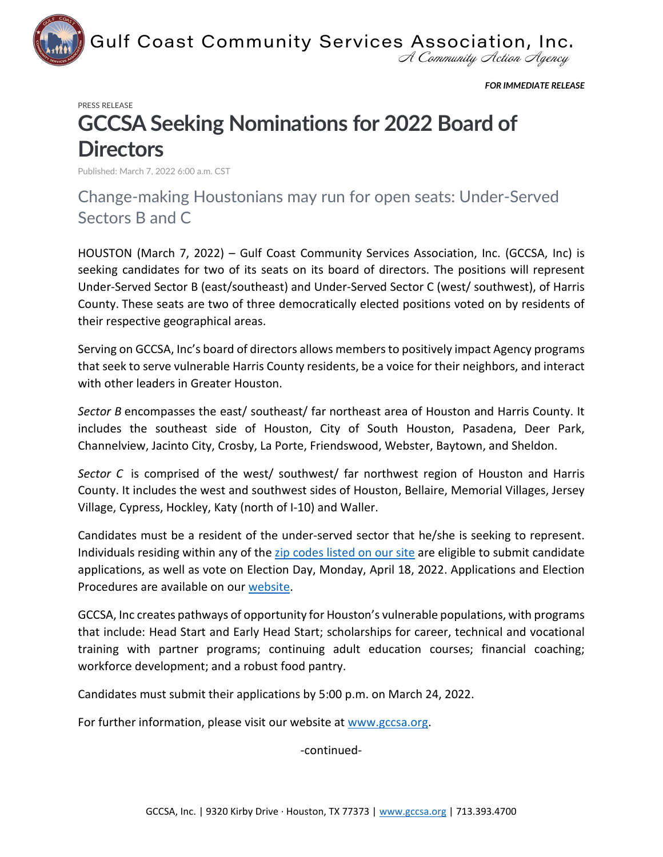

A Community Action Agency

*FOR IMMEDIATE RELEASE*

## PRESS RELEASE

## **GCCSA Seeking Nominations for 2022 Board of Directors**

Published: March 7, 2022 6:00 a.m. CST

Change-making Houstonians may run for open seats: Under-Served Sectors B and C

HOUSTON (March 7, 2022) – Gulf Coast Community Services Association, Inc. (GCCSA, Inc) is seeking candidates for two of its seats on its board of directors. The positions will represent Under-Served Sector B (east/southeast) and Under-Served Sector C (west/ southwest), of Harris County. These seats are two of three democratically elected positions voted on by residents of their respective geographical areas.

Serving on GCCSA, Inc's board of directors allows members to positively impact Agency programs that seek to serve vulnerable Harris County residents, be a voice for their neighbors, and interact with other leaders in Greater Houston.

*Sector B* encompasses the east/ southeast/ far northeast area of Houston and Harris County. It includes the southeast side of Houston, City of South Houston, Pasadena, Deer Park, Channelview, Jacinto City, Crosby, La Porte, Friendswood, Webster, Baytown, and Sheldon.

*Sector C* is comprised of the west/ southwest/ far northwest region of Houston and Harris County. It includes the west and southwest sides of Houston, Bellaire, Memorial Villages, Jersey Village, Cypress, Hockley, Katy (north of I-10) and Waller.

Candidates must be a resident of the under-served sector that he/she is seeking to represent. Individuals residing within any of the [zip codes listed on our site](https://www.gccsa.org/board-of-directors/) are eligible to submit candidate applications, as well as vote on Election Day, Monday, April 18, 2022. Applications and Election Procedures are available on our [website.](https://www.gccsa.org/wp-content/uploads/2022/03/2022-GCCSA-Election-Procedures-for-Under-Served-Sectors.pdf)

GCCSA, Inc creates pathways of opportunity for Houston's vulnerable populations, with programs that include: Head Start and Early Head Start; scholarships for career, technical and vocational training with partner programs; continuing adult education courses; financial coaching; workforce development; and a robust food pantry.

Candidates must submit their applications by 5:00 p.m. on March 24, 2022.

For further information, please visit our website at [www.gccsa.org.](http://www.gccsa.org/)

-continued-